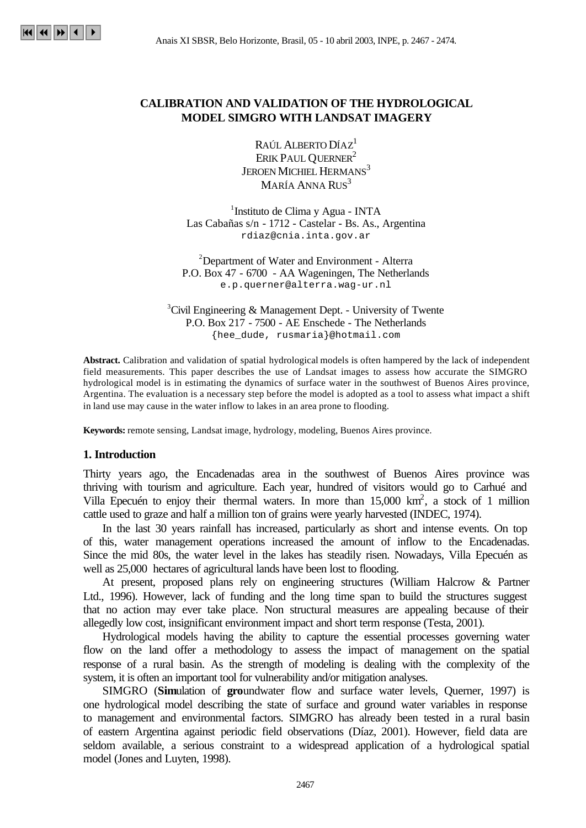## **CALIBRATION AND VALIDATION OF THE HYDROLOGICAL MODEL SIMGRO WITH LANDSAT IMAGERY**

RAÚL ALBERTO DÍAZ<sup>1</sup> ERIK PAUL QUERNER<sup>2</sup> JEROEN MICHIEL HERMANS<sup>3</sup> MARÍA ANNA RUS<sup>3</sup>

<sup>1</sup>Instituto de Clima y Agua - INTA Las Cabañas s/n - 1712 - Castelar - Bs. As., Argentina rdiaz@cnia.inta.gov.ar

<sup>2</sup>Department of Water and Environment - Alterra P.O. Box 47 - 6700 - AA Wageningen, The Netherlands e.p.querner@alterra.wag-ur.nl

 ${}^{3}$ Civil Engineering & Management Dept. - University of Twente P.O. Box 217 - 7500 - AE Enschede - The Netherlands {hee\_dude, rusmaria}@hotmail.com

**Abstract.** Calibration and validation of spatial hydrological models is often hampered by the lack of independent field measurements. This paper describes the use of Landsat images to assess how accurate the SIMGRO hydrological model is in estimating the dynamics of surface water in the southwest of Buenos Aires province, Argentina. The evaluation is a necessary step before the model is adopted as a tool to assess what impact a shift in land use may cause in the water inflow to lakes in an area prone to flooding.

**Keywords:** remote sensing, Landsat image, hydrology, modeling, Buenos Aires province.

#### **1. Introduction**

Thirty years ago, the Encadenadas area in the southwest of Buenos Aires province was thriving with tourism and agriculture. Each year, hundred of visitors would go to Carhué and Villa Epecuén to enjoy their thermal waters. In more than 15,000 km<sup>2</sup>, a stock of 1 million cattle used to graze and half a million ton of grains were yearly harvested (INDEC, 1974).

In the last 30 years rainfall has increased, particularly as short and intense events. On top of this, water management operations increased the amount of inflow to the Encadenadas. Since the mid 80s, the water level in the lakes has steadily risen. Nowadays, Villa Epecuén as well as 25,000 hectares of agricultural lands have been lost to flooding.

At present, proposed plans rely on engineering structures (William Halcrow & Partner Ltd., 1996). However, lack of funding and the long time span to build the structures suggest that no action may ever take place. Non structural measures are appealing because of their allegedly low cost, insignificant environment impact and short term response (Testa, 2001).

Hydrological models having the ability to capture the essential processes governing water flow on the land offer a methodology to assess the impact of management on the spatial response of a rural basin. As the strength of modeling is dealing with the complexity of the system, it is often an important tool for vulnerability and/or mitigation analyses.

SIMGRO (**Sim**ulation of **gro**undwater flow and surface water levels, Querner, 1997) is one hydrological model describing the state of surface and ground water variables in response to management and environmental factors. SIMGRO has already been tested in a rural basin of eastern Argentina against periodic field observations (Díaz, 2001). However, field data are seldom available, a serious constraint to a widespread application of a hydrological spatial model (Jones and Luyten, 1998).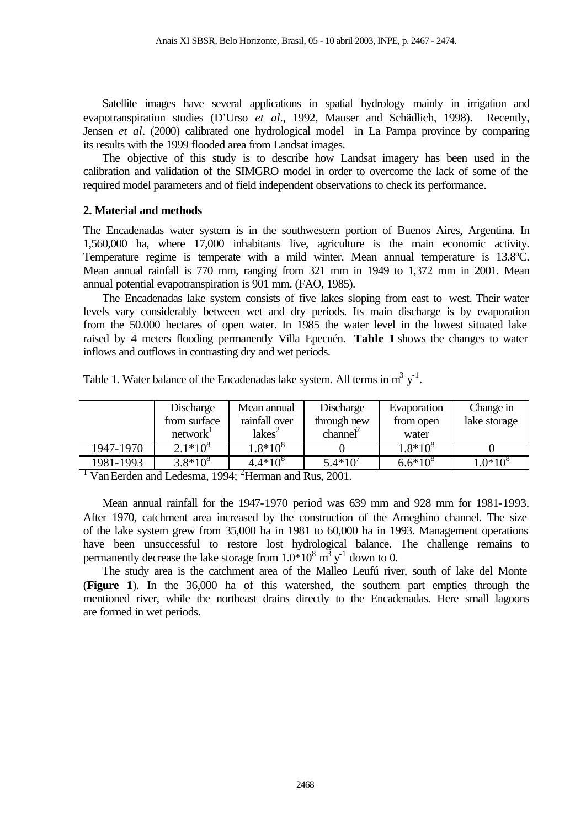Satellite images have several applications in spatial hydrology mainly in irrigation and evapotranspiration studies (D'Urso *et al*., 1992, Mauser and Schädlich, 1998). Recently, Jensen *et al*. (2000) calibrated one hydrological model in La Pampa province by comparing its results with the 1999 flooded area from Landsat images.

The objective of this study is to describe how Landsat imagery has been used in the calibration and validation of the SIMGRO model in order to overcome the lack of some of the required model parameters and of field independent observations to check its performance.

## **2. Material and methods**

The Encadenadas water system is in the southwestern portion of Buenos Aires, Argentina. In 1,560,000 ha, where 17,000 inhabitants live, agriculture is the main economic activity. Temperature regime is temperate with a mild winter. Mean annual temperature is 13.8ºC. Mean annual rainfall is 770 mm, ranging from 321 mm in 1949 to 1,372 mm in 2001. Mean annual potential evapotranspiration is 901 mm. (FAO, 1985).

The Encadenadas lake system consists of five lakes sloping from east to west. Their water levels vary considerably between wet and dry periods. Its main discharge is by evaporation from the 50.000 hectares of open water. In 1985 the water level in the lowest situated lake raised by 4 meters flooding permanently Villa Epecuén. **Table 1** shows the changes to water inflows and outflows in contrasting dry and wet periods.

|           | Discharge            | Mean annual        | Discharge   | Evaporation  | Change in    |
|-----------|----------------------|--------------------|-------------|--------------|--------------|
|           | from surface         | rainfall over      | through new | from open    | lake storage |
|           | network <sup>1</sup> | lakes <sup>2</sup> | channel     | water        |              |
| 1947-1970 | $2.1*10^{8}$         | $1.8*10^{8}$       |             | $1.8*10^{8}$ |              |
| 1981-1993 | $3.8*10^{8}$         | $4.4*10^{8}$       | $5.4*10'$   | $6.6*10^{8}$ | $1.0*10^{8}$ |

Table 1. Water balance of the Encadenadas lake system. All terms in  $m^3 y^{-1}$ .

<sup>1</sup> Van Eerden and Ledesma, 1994; <sup>2</sup>Herman and Rus, 2001.

Mean annual rainfall for the 1947-1970 period was 639 mm and 928 mm for 1981-1993. After 1970, catchment area increased by the construction of the Ameghino channel. The size of the lake system grew from 35,000 ha in 1981 to 60,000 ha in 1993. Management operations have been unsuccessful to restore lost hydrological balance. The challenge remains to permanently decrease the lake storage from  $1.0*10^8$   $\text{m}^3$  y<sup>-1</sup> down to 0.

The study area is the catchment area of the Malleo Leufú river, south of lake del Monte (**Figure 1**). In the 36,000 ha of this watershed, the southern part empties through the mentioned river, while the northeast drains directly to the Encadenadas. Here small lagoons are formed in wet periods.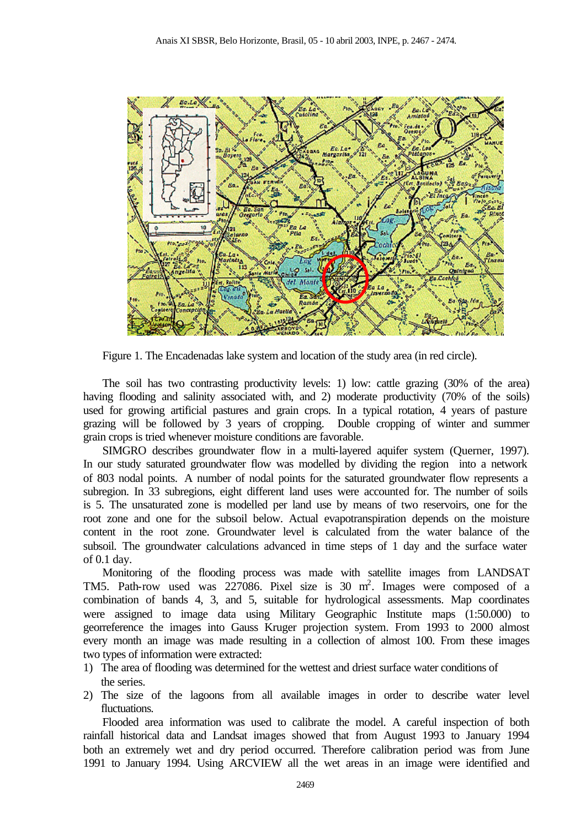

Figure 1. The Encadenadas lake system and location of the study area (in red circle).

The soil has two contrasting productivity levels: 1) low: cattle grazing (30% of the area) having flooding and salinity associated with, and 2) moderate productivity (70% of the soils) used for growing artificial pastures and grain crops. In a typical rotation, 4 years of pasture grazing will be followed by 3 years of cropping. Double cropping of winter and summer grain crops is tried whenever moisture conditions are favorable.

SIMGRO describes groundwater flow in a multi-layered aquifer system (Querner, 1997). In our study saturated groundwater flow was modelled by dividing the region into a network of 803 nodal points. A number of nodal points for the saturated groundwater flow represents a subregion. In 33 subregions, eight different land uses were accounted for. The number of soils is 5. The unsaturated zone is modelled per land use by means of two reservoirs, one for the root zone and one for the subsoil below. Actual evapotranspiration depends on the moisture content in the root zone. Groundwater level is calculated from the water balance of the subsoil. The groundwater calculations advanced in time steps of 1 day and the surface water of 0.1 day.

Monitoring of the flooding process was made with satellite images from LANDSAT TM5. Path-row used was 227086. Pixel size is 30 m 2 . Images were composed of a combination of bands 4, 3, and 5, suitable for hydrological assessments. Map coordinates were assigned to image data using Military Geographic Institute maps (1:50.000) to georreference the images into Gauss Kruger projection system. From 1993 to 2000 almost every month an image was made resulting in a collection of almost 100. From these images two types of information were extracted:

- 1) The area of flooding was determined for the wettest and driest surface water conditions of the series.
- 2) The size of the lagoons from all available images in order to describe water level fluctuations.

Flooded area information was used to calibrate the model. A careful inspection of both rainfall historical data and Landsat images showed that from August 1993 to January 1994 both an extremely wet and dry period occurred. Therefore calibration period was from June 1991 to January 1994. Using ARCVIEW all the wet areas in an image were identified and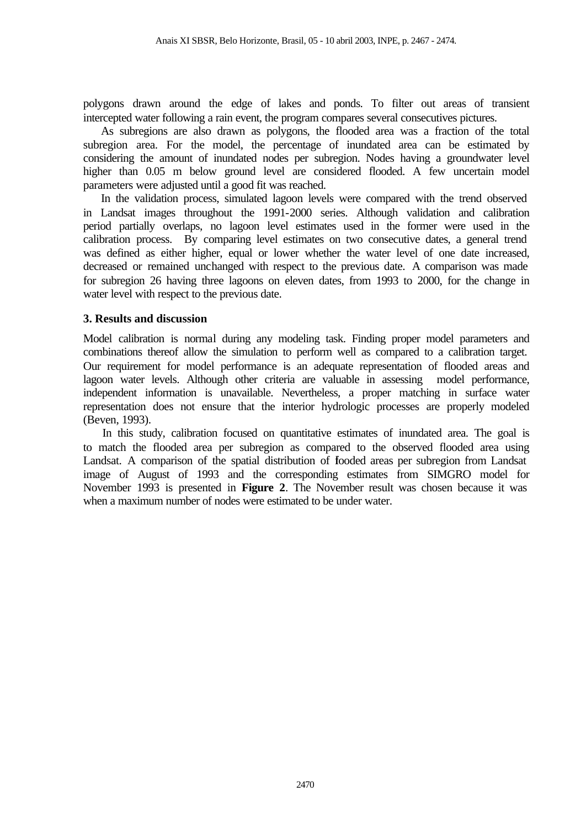polygons drawn around the edge of lakes and ponds. To filter out areas of transient intercepted water following a rain event, the program compares several consecutives pictures.

As subregions are also drawn as polygons, the flooded area was a fraction of the total subregion area. For the model, the percentage of inundated area can be estimated by considering the amount of inundated nodes per subregion. Nodes having a groundwater level higher than 0.05 m below ground level are considered flooded. A few uncertain model parameters were adjusted until a good fit was reached.

In the validation process, simulated lagoon levels were compared with the trend observed in Landsat images throughout the 1991-2000 series. Although validation and calibration period partially overlaps, no lagoon level estimates used in the former were used in the calibration process. By comparing level estimates on two consecutive dates, a general trend was defined as either higher, equal or lower whether the water level of one date increased, decreased or remained unchanged with respect to the previous date. A comparison was made for subregion 26 having three lagoons on eleven dates, from 1993 to 2000, for the change in water level with respect to the previous date.

## **3. Results and discussion**

Model calibration is normal during any modeling task. Finding proper model parameters and combinations thereof allow the simulation to perform well as compared to a calibration target. Our requirement for model performance is an adequate representation of flooded areas and lagoon water levels. Although other criteria are valuable in assessing model performance, independent information is unavailable. Nevertheless, a proper matching in surface water representation does not ensure that the interior hydrologic processes are properly modeled (Beven, 1993).

In this study, calibration focused on quantitative estimates of inundated area. The goal is to match the flooded area per subregion as compared to the observed flooded area using Landsat. A comparison of the spatial distribution of fooded areas per subregion from Landsat image of August of 1993 and the corresponding estimates from SIMGRO model for November 1993 is presented in **Figure 2**. The November result was chosen because it was when a maximum number of nodes were estimated to be under water.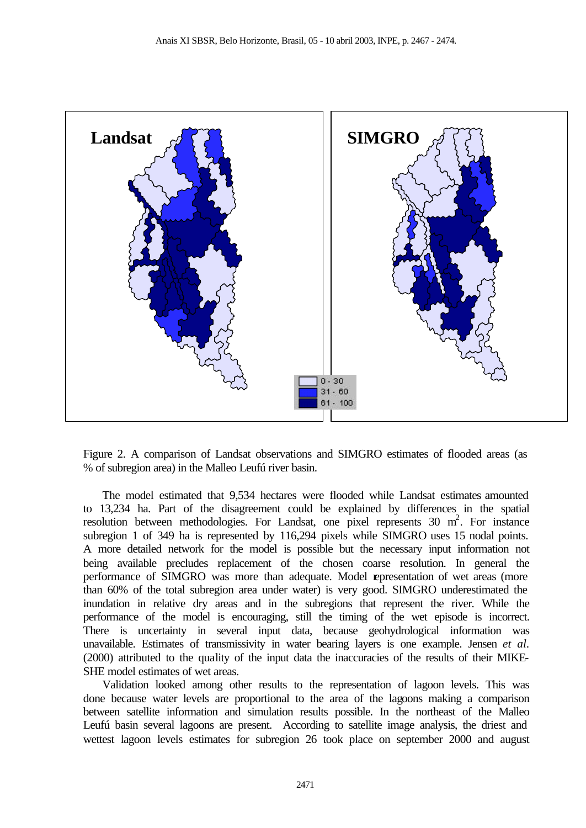

Figure 2. A comparison of Landsat observations and SIMGRO estimates of flooded areas (as % of subregion area) in the Malleo Leufú river basin.

The model estimated that 9,534 hectares were flooded while Landsat estimates amounted to 13,234 ha. Part of the disagreement could be explained by differences in the spatial resolution between methodologies. For Landsat, one pixel represents 30 m<sup>2</sup>. For instance subregion 1 of 349 ha is represented by 116,294 pixels while SIMGRO uses 15 nodal points. A more detailed network for the model is possible but the necessary input information not being available precludes replacement of the chosen coarse resolution. In general the performance of SIMGRO was more than adequate. Model representation of wet areas (more than 60% of the total subregion area under water) is very good. SIMGRO underestimated the inundation in relative dry areas and in the subregions that represent the river. While the performance of the model is encouraging, still the timing of the wet episode is incorrect. There is uncertainty in several input data, because geohydrological information was unavailable. Estimates of transmissivity in water bearing layers is one example. Jensen *et al*. (2000) attributed to the quality of the input data the inaccuracies of the results of their MIKE-SHE model estimates of wet areas.

Validation looked among other results to the representation of lagoon levels. This was done because water levels are proportional to the area of the lagoons making a comparison between satellite information and simulation results possible. In the northeast of the Malleo Leufú basin several lagoons are present. According to satellite image analysis, the driest and wettest lagoon levels estimates for subregion 26 took place on september 2000 and august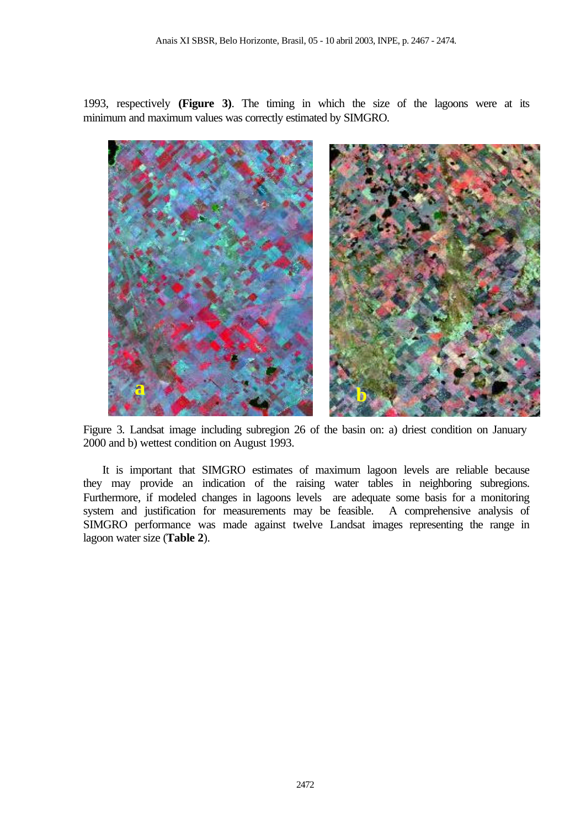1993, respectively **(Figure 3)**. The timing in which the size of the lagoons were at its minimum and maximum values was correctly estimated by SIMGRO.



Figure 3. Landsat image including subregion 26 of the basin on: a) driest condition on January 2000 and b) wettest condition on August 1993.

It is important that SIMGRO estimates of maximum lagoon levels are reliable because they may provide an indication of the raising water tables in neighboring subregions. Furthermore, if modeled changes in lagoons levels are adequate some basis for a monitoring system and justification for measurements may be feasible. A comprehensive analysis of SIMGRO performance was made against twelve Landsat images representing the range in lagoon water size (**Table 2**).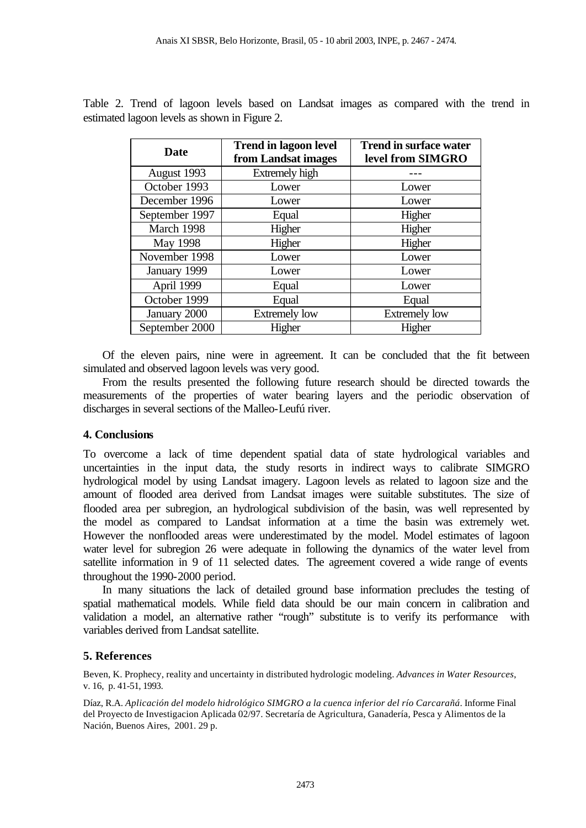| Date           | <b>Trend in lagoon level</b><br>from Landsat images | <b>Trend in surface water</b><br>level from SIMGRO |  |
|----------------|-----------------------------------------------------|----------------------------------------------------|--|
| August 1993    | Extremely high                                      |                                                    |  |
| October 1993   | Lower                                               | Lower                                              |  |
| December 1996  | Lower                                               | Lower                                              |  |
| September 1997 | Equal                                               | Higher                                             |  |
| March 1998     | Higher                                              | Higher                                             |  |
| May 1998       | Higher                                              | Higher                                             |  |
| November 1998  | Lower                                               | Lower                                              |  |
| January 1999   | Lower                                               | Lower                                              |  |
| April 1999     | Equal                                               | Lower                                              |  |
| October 1999   | Equal                                               | Equal                                              |  |
| January 2000   | <b>Extremely low</b>                                | <b>Extremely low</b>                               |  |
| September 2000 | Higher                                              | Higher                                             |  |

Table 2. Trend of lagoon levels based on Landsat images as compared with the trend in estimated lagoon levels as shown in Figure 2.

Of the eleven pairs, nine were in agreement. It can be concluded that the fit between simulated and observed lagoon levels was very good.

From the results presented the following future research should be directed towards the measurements of the properties of water bearing layers and the periodic observation of discharges in several sections of the Malleo-Leufú river.

## **4. Conclusions**

To overcome a lack of time dependent spatial data of state hydrological variables and uncertainties in the input data, the study resorts in indirect ways to calibrate SIMGRO hydrological model by using Landsat imagery. Lagoon levels as related to lagoon size and the amount of flooded area derived from Landsat images were suitable substitutes. The size of flooded area per subregion, an hydrological subdivision of the basin, was well represented by the model as compared to Landsat information at a time the basin was extremely wet. However the nonflooded areas were underestimated by the model. Model estimates of lagoon water level for subregion 26 were adequate in following the dynamics of the water level from satellite information in 9 of 11 selected dates. The agreement covered a wide range of events throughout the 1990-2000 period.

In many situations the lack of detailed ground base information precludes the testing of spatial mathematical models. While field data should be our main concern in calibration and validation a model, an alternative rather "rough" substitute is to verify its performance with variables derived from Landsat satellite.

# **5. References**

Beven, K. Prophecy, reality and uncertainty in distributed hydrologic modeling. *Advances in Water Resources*, v. 16, p. 41-51, 1993.

Díaz, R.A. *Aplicación del modelo hidrológico SIMGRO a la cuenca inferior del río Carcarañá*. Informe Final del Proyecto de Investigacion Aplicada 02/97. Secretaría de Agricultura, Ganadería, Pesca y Alimentos de la Nación, Buenos Aires, 2001. 29 p.